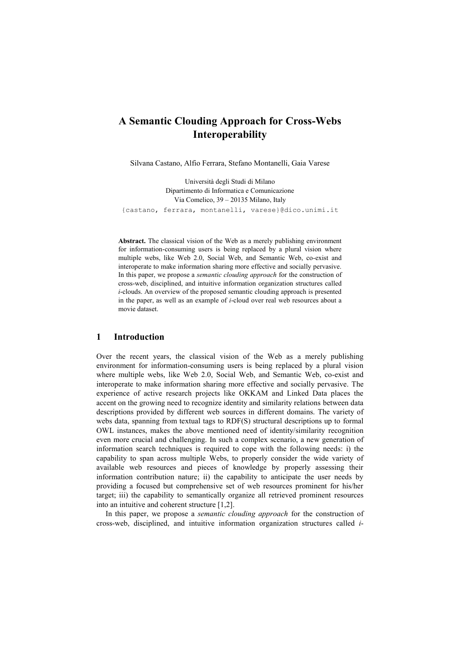# **A Semantic Clouding Approach for Cross-Webs Interoperability**

Silvana Castano, Alfio Ferrara, Stefano Montanelli, Gaia Varese

Università degli Studi di Milano Dipartimento di Informatica e Comunicazione Via Comelico, 39 – 20135 Milano, Italy {castano, ferrara, montanelli, varese}@dico.unimi.it

**Abstract.** The classical vision of the Web as a merely publishing environment for information-consuming users is being replaced by a plural vision where multiple webs, like Web 2.0, Social Web, and Semantic Web, co-exist and interoperate to make information sharing more effective and socially pervasive. In this paper, we propose a *semantic clouding approach* for the construction of cross-web, disciplined, and intuitive information organization structures called *i*-clouds. An overview of the proposed semantic clouding approach is presented in the paper, as well as an example of *i*-cloud over real web resources about a movie dataset.

### **1 Introduction**

Over the recent years, the classical vision of the Web as a merely publishing environment for information-consuming users is being replaced by a plural vision where multiple webs, like Web 2.0, Social Web, and Semantic Web, co-exist and interoperate to make information sharing more effective and socially pervasive. The experience of active research projects like OKKAM and Linked Data places the accent on the growing need to recognize identity and similarity relations between data descriptions provided by different web sources in different domains. The variety of webs data, spanning from textual tags to RDF(S) structural descriptions up to formal OWL instances, makes the above mentioned need of identity/similarity recognition even more crucial and challenging. In such a complex scenario, a new generation of information search techniques is required to cope with the following needs: i) the capability to span across multiple Webs, to properly consider the wide variety of available web resources and pieces of knowledge by properly assessing their information contribution nature; ii) the capability to anticipate the user needs by providing a focused but comprehensive set of web resources prominent for his/her target; iii) the capability to semantically organize all retrieved prominent resources into an intuitive and coherent structure [1,2].

In this paper, we propose a *semantic clouding approach* for the construction of cross-web, disciplined, and intuitive information organization structures called *i*-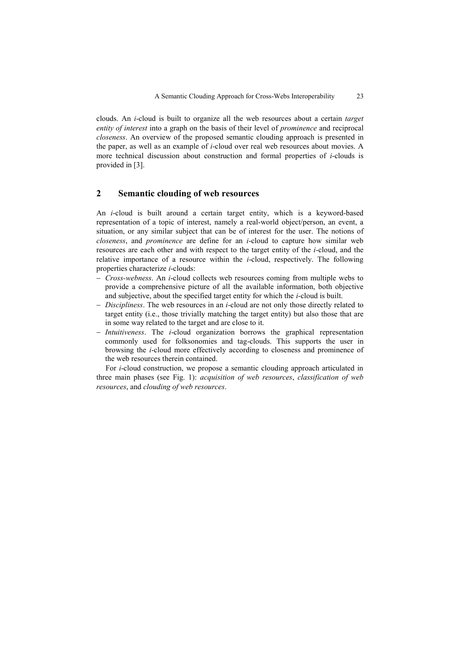clouds. An *i*-cloud is built to organize all the web resources about a certain *target entity of interest* into a graph on the basis of their level of *prominence* and reciprocal *closeness*. An overview of the proposed semantic clouding approach is presented in the paper, as well as an example of *i*-cloud over real web resources about movies. A more technical discussion about construction and formal properties of *i*-clouds is provided in [3].

### **2 Semantic clouding of web resources**

An *i*-cloud is built around a certain target entity, which is a keyword-based representation of a topic of interest, namely a real-world object/person, an event, a situation, or any similar subject that can be of interest for the user. The notions of *closeness*, and *prominence* are define for an *i*-cloud to capture how similar web resources are each other and with respect to the target entity of the *i*-cloud, and the relative importance of a resource within the *i*-cloud, respectively. The following properties characterize *i*-clouds:

- *Cross-webness*. An *i*-cloud collects web resources coming from multiple webs to provide a comprehensive picture of all the available information, both objective and subjective, about the specified target entity for which the *i*-cloud is built.
- *Discipliness*. The web resources in an *i*-cloud are not only those directly related to target entity (i.e., those trivially matching the target entity) but also those that are in some way related to the target and are close to it.
- *Intuitiveness*. The *i*-cloud organization borrows the graphical representation commonly used for folksonomies and tag-clouds. This supports the user in browsing the *i*-cloud more effectively according to closeness and prominence of the web resources therein contained.

For *i*-cloud construction, we propose a semantic clouding approach articulated in three main phases (see Fig. 1): *acquisition of web resources*, *classification of web resources*, and *clouding of web resources*.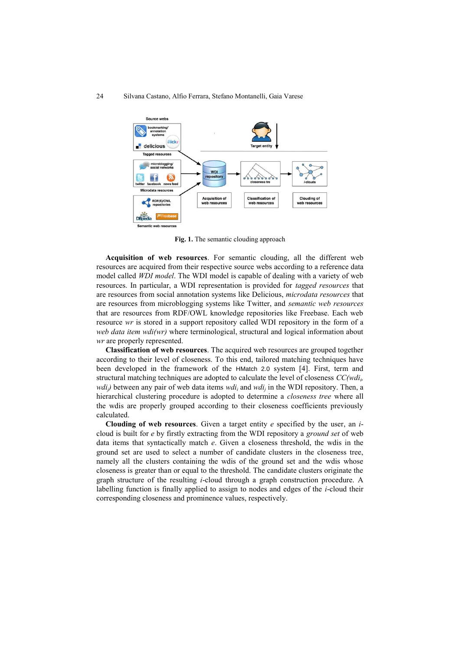#### 24 Silvana Castano, Alfio Ferrara, Stefano Montanelli, Gaia Varese



**Fig. 1.** The semantic clouding approach

**Acquisition of web resources**. For semantic clouding, all the different web resources are acquired from their respective source webs according to a reference data model called *WDI model*. The WDI model is capable of dealing with a variety of web resources. In particular, a WDI representation is provided for *tagged resources* that are resources from social annotation systems like Delicious, *microdata resources* that are resources from microblogging systems like Twitter, and *semantic web resources* that are resources from RDF/OWL knowledge repositories like Freebase. Each web resource *wr* is stored in a support repository called WDI repository in the form of a *web data item wdi(wr)* where terminological, structural and logical information about *wr* are properly represented.

**Classification of web resources**. The acquired web resources are grouped together according to their level of closeness. To this end, tailored matching techniques have been developed in the framework of the HMatch 2.0 system [4]. First, term and structural matching techniques are adopted to calculate the level of closeness *CC(wdi<sup>i</sup> , wdij)* between any pair of web data items *wdi<sup>i</sup>* and *wdi<sup>j</sup>* in the WDI repository. Then, a hierarchical clustering procedure is adopted to determine a *closeness tree* where all the wdis are properly grouped according to their closeness coefficients previously calculated.

**Clouding of web resources**. Given a target entity *e* specified by the user, an *i*cloud is built for *e* by firstly extracting from the WDI repository a *ground set* of web data items that syntactically match *e*. Given a closeness threshold, the wdis in the ground set are used to select a number of candidate clusters in the closeness tree, namely all the clusters containing the wdis of the ground set and the wdis whose closeness is greater than or equal to the threshold. The candidate clusters originate the graph structure of the resulting *i*-cloud through a graph construction procedure. A labelling function is finally applied to assign to nodes and edges of the *i*-cloud their corresponding closeness and prominence values, respectively.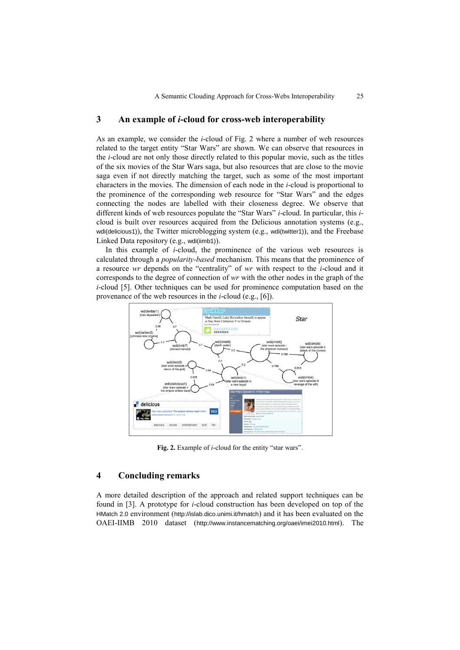### **3 An example of** *i***-cloud for cross-web interoperability**

As an example, we consider the *i*-cloud of Fig. 2 where a number of web resources related to the target entity "Star Wars" are shown. We can observe that resources in the *i*-cloud are not only those directly related to this popular movie, such as the titles of the six movies of the Star Wars saga, but also resources that are close to the movie saga even if not directly matching the target, such as some of the most important characters in the movies. The dimension of each node in the *i*-cloud is proportional to the prominence of the corresponding web resource for "Star Wars" and the edges connecting the nodes are labelled with their closeness degree. We observe that different kinds of web resources populate the "Star Wars" *i*-cloud. In particular, this *i*cloud is built over resources acquired from the Delicious annotation systems (e.g., wdi(delicious1)), the Twitter microblogging system (e.g., wdi(twitter1)), and the Freebase Linked Data repository (e.g., wdi(iimb1)).

In this example of *i*-cloud, the prominence of the various web resources is calculated through a *popularity-based* mechanism. This means that the prominence of a resource *wr* depends on the "centrality" of *wr* with respect to the *i*-cloud and it corresponds to the degree of connection of *wr* with the other nodes in the graph of the *i*-cloud [5]. Other techniques can be used for prominence computation based on the provenance of the web resources in the *i*-cloud (e.g., [6]).



**Fig. 2.** Example of *i*-cloud for the entity "star wars".

### **4 Concluding remarks**

A more detailed description of the approach and related support techniques can be found in [3]. A prototype for *i*-cloud construction has been developed on top of the HMatch 2.0 environment (http://islab.dico.unimi.it/hmatch) and it has been evaluated on the OAEI-IIMB 2010 dataset (http://www.instancematching.org/oaei/imei2010.html). The